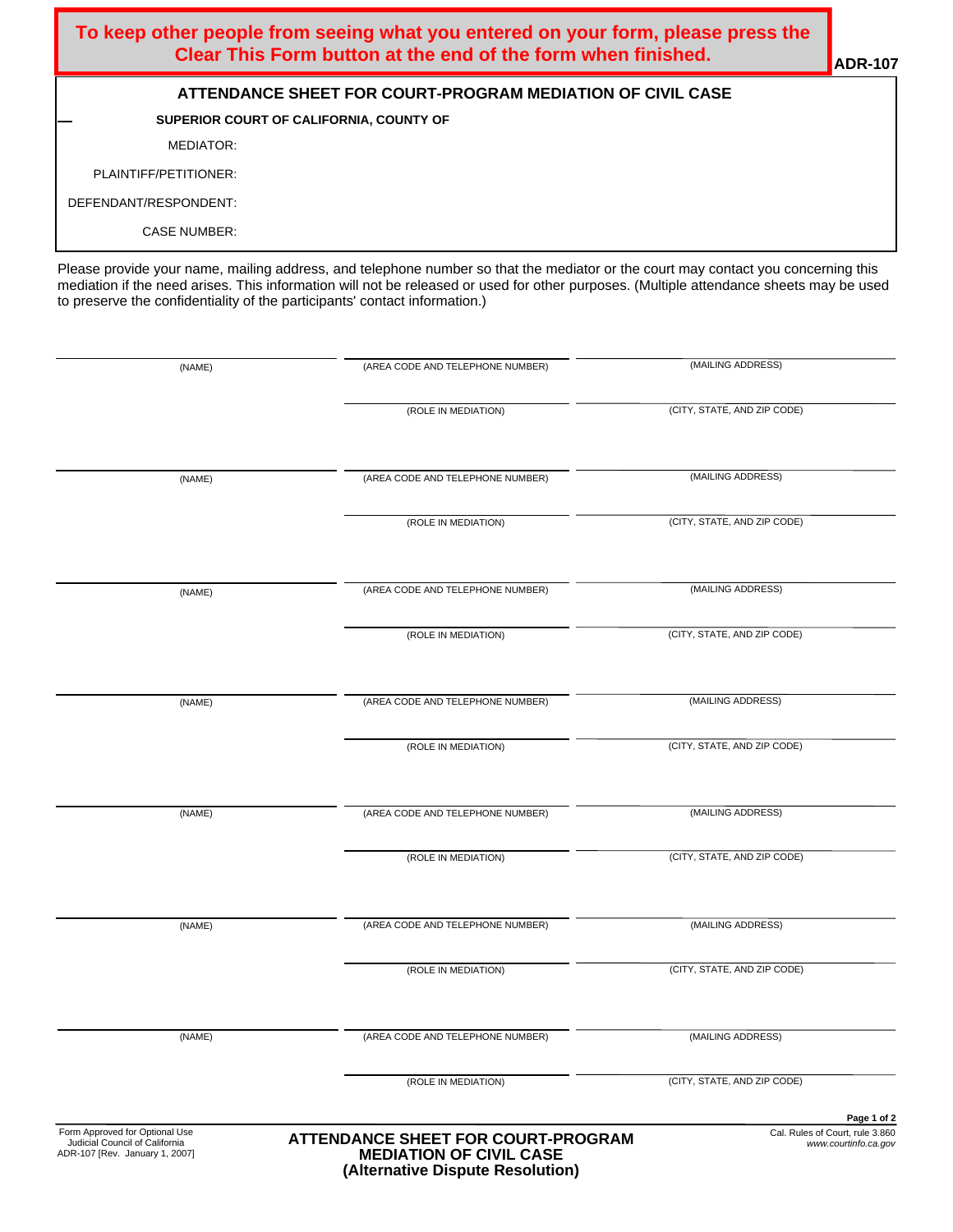| To keep other people from seeing what you entered on your form, please press the<br>Clear This Form button at the end of the form when finished. | $\blacksquare$ ADR-107 |
|--------------------------------------------------------------------------------------------------------------------------------------------------|------------------------|
| ATTENDANCE SHEET FOR COURT-PROGRAM MEDIATION OF CIVIL CASE                                                                                       |                        |
| SUPERIOR COURT OF CALIFORNIA, COUNTY OF                                                                                                          |                        |
| MEDIATOR:                                                                                                                                        |                        |
| PLAINTIFF/PETITIONER:                                                                                                                            |                        |
| DEFENDANT/RESPONDENT:                                                                                                                            |                        |
| <b>CASE NUMBER:</b>                                                                                                                              |                        |

Please provide your name, mailing address, and telephone number so that the mediator or the court may contact you concerning this mediation if the need arises. This information will not be released or used for other purposes. (Multiple attendance sheets may be used to preserve the confidentiality of the participants' contact information.)

| (NAME)                                                                                             | (AREA CODE AND TELEPHONE NUMBER)                                                                                | (MAILING ADDRESS)                                                      |
|----------------------------------------------------------------------------------------------------|-----------------------------------------------------------------------------------------------------------------|------------------------------------------------------------------------|
|                                                                                                    | (ROLE IN MEDIATION)                                                                                             | (CITY, STATE, AND ZIP CODE)                                            |
| (NAME)                                                                                             | (AREA CODE AND TELEPHONE NUMBER)                                                                                | (MAILING ADDRESS)                                                      |
|                                                                                                    |                                                                                                                 |                                                                        |
|                                                                                                    | (ROLE IN MEDIATION)                                                                                             | (CITY, STATE, AND ZIP CODE)                                            |
| (NAME)                                                                                             | (AREA CODE AND TELEPHONE NUMBER)                                                                                | (MAILING ADDRESS)                                                      |
|                                                                                                    | (ROLE IN MEDIATION)                                                                                             | (CITY, STATE, AND ZIP CODE)                                            |
| (NAME)                                                                                             | (AREA CODE AND TELEPHONE NUMBER)                                                                                | (MAILING ADDRESS)                                                      |
|                                                                                                    | (ROLE IN MEDIATION)                                                                                             | (CITY, STATE, AND ZIP CODE)                                            |
| (NAME)                                                                                             | (AREA CODE AND TELEPHONE NUMBER)                                                                                | (MAILING ADDRESS)                                                      |
|                                                                                                    | (ROLE IN MEDIATION)                                                                                             | (CITY, STATE, AND ZIP CODE)                                            |
| (NAME)                                                                                             | (AREA CODE AND TELEPHONE NUMBER)                                                                                | (MAILING ADDRESS)                                                      |
|                                                                                                    | (ROLE IN MEDIATION)                                                                                             | (CITY, STATE, AND ZIP CODE)                                            |
| (NAME)                                                                                             | (AREA CODE AND TELEPHONE NUMBER)                                                                                | (MAILING ADDRESS)                                                      |
|                                                                                                    | (ROLE IN MEDIATION)                                                                                             | (CITY, STATE, AND ZIP CODE)                                            |
| Form Approved for Optional Use<br>Judicial Council of California<br>ADR-107 [Rev. January 1, 2007] | <b>ATTENDANCE SHEET FOR COURT-PROGRAM</b><br><b>MEDIATION OF CIVIL CASE</b><br>(Alternative Dispute Resolution) | Page 1 of 2<br>Cal. Rules of Court, rule 3.860<br>www.courtinfo.ca.gov |